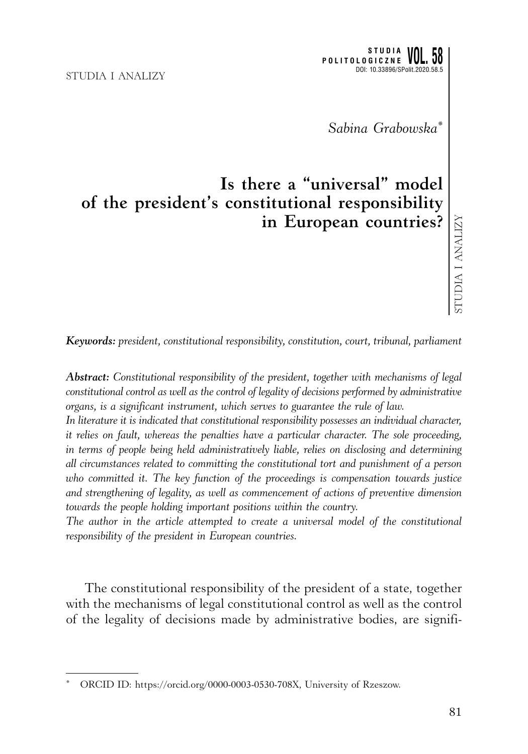*Sabina Grabowska\**

## **Is there a "universal" model of the president's constitutional responsibility in European countries?**

*Keywords: president, constitutional responsibility, constitution, court, tribunal, parliament*

*Abstract: Constitutional responsibility of the president, together with mechanisms of legal constitutional control as well as the control of legality of decisions performed by administrative organs, is a significant instrument, which serves to guarantee the rule of law.*

*In literature it is indicated that constitutional responsibility possesses an individual character, it relies on fault, whereas the penalties have a particular character. The sole proceeding, in terms of people being held administratively liable, relies on disclosing and determining all circumstances related to committing the constitutional tort and punishment of a person who committed it. The key function of the proceedings is compensation towards justice and strengthening of legality, as well as commencement of actions of preventive dimension towards the people holding important positions within the country.*

*The author in the article attempted to create a universal model of the constitutional responsibility of the president in European countries.*

The constitutional responsibility of the president of a state, together with the mechanisms of legal constitutional control as well as the control of the legality of decisions made by administrative bodies, are signifi-

ORCID ID: https://orcid.org/0000-0003-0530-708X, University of Rzeszow.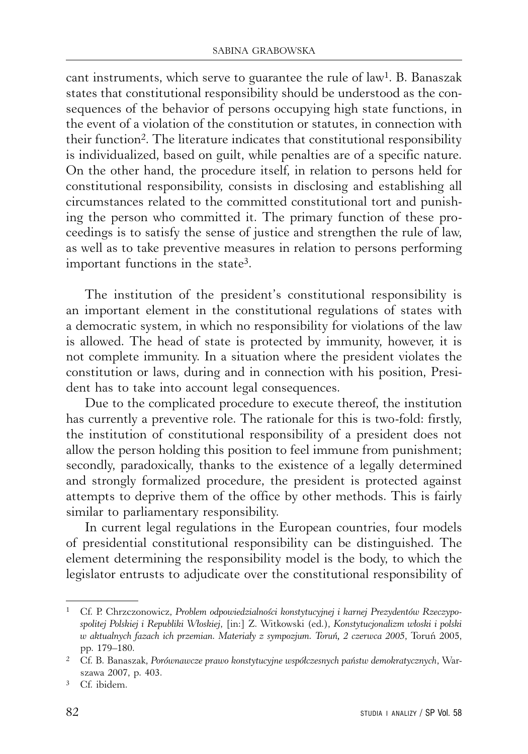cant instruments, which serve to guarantee the rule of law1. B. Banaszak states that constitutional responsibility should be understood as the consequences of the behavior of persons occupying high state functions, in the event of a violation of the constitution or statutes, in connection with their function2. The literature indicates that constitutional responsibility is individualized, based on guilt, while penalties are of a specific nature. On the other hand, the procedure itself, in relation to persons held for constitutional responsibility, consists in disclosing and establishing all circumstances related to the committed constitutional tort and punishing the person who committed it. The primary function of these proceedings is to satisfy the sense of justice and strengthen the rule of law, as well as to take preventive measures in relation to persons performing important functions in the state3.

The institution of the president's constitutional responsibility is an important element in the constitutional regulations of states with a democratic system, in which no responsibility for violations of the law is allowed. The head of state is protected by immunity, however, it is not complete immunity. In a situation where the president violates the constitution or laws, during and in connection with his position, President has to take into account legal consequences.

Due to the complicated procedure to execute thereof, the institution has currently a preventive role. The rationale for this is two-fold: firstly, the institution of constitutional responsibility of a president does not allow the person holding this position to feel immune from punishment; secondly, paradoxically, thanks to the existence of a legally determined and strongly formalized procedure, the president is protected against attempts to deprive them of the office by other methods. This is fairly similar to parliamentary responsibility.

In current legal regulations in the European countries, four models of presidential constitutional responsibility can be distinguished. The element determining the responsibility model is the body, to which the legislator entrusts to adjudicate over the constitutional responsibility of

<sup>1</sup> Cf. P. Chrzczonowicz, *Problem odpowiedzialności konstytucyjnej i karnej Prezydentów Rzeczypospolitej Polskiej i Republiki Włoskiej*, [in:] Z. Witkowski (ed.), *Konstytucjonalizm włoski i polski w aktualnych fazach ich przemian. Materiały z sympozjum. Toruń, 2 czerwca 2005*, Toruń 2005, pp. 179–180.

<sup>2</sup> Cf. B. Banaszak, *Porównawcze prawo konstytucyjne współczesnych państw demokratycznych*, Warszawa 2007, p. 403.

<sup>3</sup> Cf. ibidem.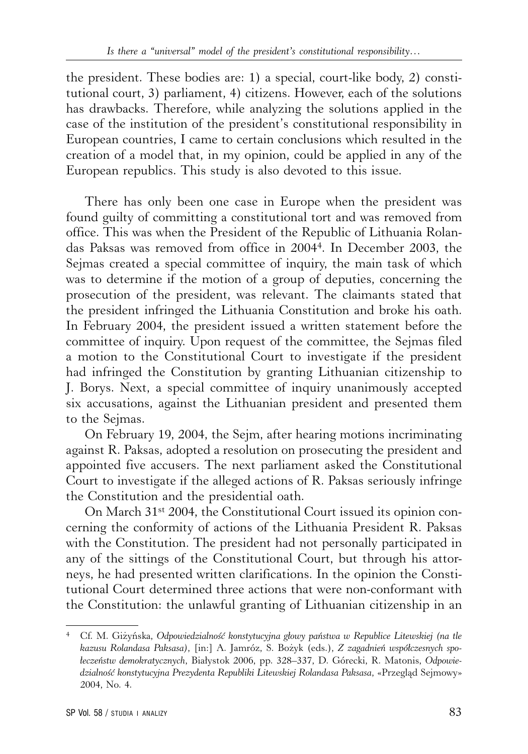the president. These bodies are: 1) a special, court-like body, 2) constitutional court, 3) parliament, 4) citizens. However, each of the solutions has drawbacks. Therefore, while analyzing the solutions applied in the case of the institution of the president's constitutional responsibility in European countries, I came to certain conclusions which resulted in the creation of a model that, in my opinion, could be applied in any of the European republics. This study is also devoted to this issue.

There has only been one case in Europe when the president was found guilty of committing a constitutional tort and was removed from office. This was when the President of the Republic of Lithuania Rolandas Paksas was removed from office in 20044. In December 2003, the Sejmas created a special committee of inquiry, the main task of which was to determine if the motion of a group of deputies, concerning the prosecution of the president, was relevant. The claimants stated that the president infringed the Lithuania Constitution and broke his oath. In February 2004, the president issued a written statement before the committee of inquiry. Upon request of the committee, the Sejmas filed a motion to the Constitutional Court to investigate if the president had infringed the Constitution by granting Lithuanian citizenship to J. Borys. Next, a special committee of inquiry unanimously accepted six accusations, against the Lithuanian president and presented them to the Sejmas.

On February 19, 2004, the Sejm, after hearing motions incriminating against R. Paksas, adopted a resolution on prosecuting the president and appointed five accusers. The next parliament asked the Constitutional Court to investigate if the alleged actions of R. Paksas seriously infringe the Constitution and the presidential oath.

On March 31st 2004, the Constitutional Court issued its opinion concerning the conformity of actions of the Lithuania President R. Paksas with the Constitution. The president had not personally participated in any of the sittings of the Constitutional Court, but through his attorneys, he had presented written clarifications. In the opinion the Constitutional Court determined three actions that were non-conformant with the Constitution: the unlawful granting of Lithuanian citizenship in an

<sup>4</sup> Cf. M. Giżyńska, *Odpowiedzialność konstytucyjna głowy państwa w Republice Litewskiej (na tle kazusu Rolandasa Paksasa)*, [in:] A. Jamróz, S. Bożyk (eds.), *Z zagadnień współczesnych społeczeństw demokratycznych*, Białystok 2006, pp. 328–337, D. Górecki, R. Matonis, *Odpowiedzialność konstytucyjna Prezydenta Republiki Litewskiej Rolandasa Paksasa*, «Przegląd Sejmowy» 2004, No. 4.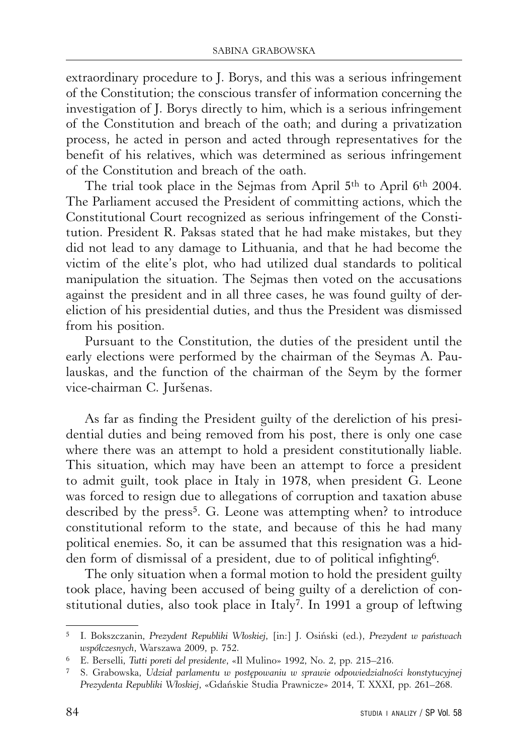extraordinary procedure to J. Borys, and this was a serious infringement of the Constitution; the conscious transfer of information concerning the investigation of J. Borys directly to him, which is a serious infringement of the Constitution and breach of the oath; and during a privatization process, he acted in person and acted through representatives for the benefit of his relatives, which was determined as serious infringement of the Constitution and breach of the oath.

The trial took place in the Sejmas from April 5<sup>th</sup> to April 6<sup>th</sup> 2004. The Parliament accused the President of committing actions, which the Constitutional Court recognized as serious infringement of the Constitution. President R. Paksas stated that he had make mistakes, but they did not lead to any damage to Lithuania, and that he had become the victim of the elite's plot, who had utilized dual standards to political manipulation the situation. The Sejmas then voted on the accusations against the president and in all three cases, he was found guilty of dereliction of his presidential duties, and thus the President was dismissed from his position.

Pursuant to the Constitution, the duties of the president until the early elections were performed by the chairman of the Seymas A. Paulauskas, and the function of the chairman of the Seym by the former vice-chairman C. Juršenas.

As far as finding the President guilty of the dereliction of his presidential duties and being removed from his post, there is only one case where there was an attempt to hold a president constitutionally liable. This situation, which may have been an attempt to force a president to admit guilt, took place in Italy in 1978, when president G. Leone was forced to resign due to allegations of corruption and taxation abuse described by the press<sup>5</sup>. G. Leone was attempting when? to introduce constitutional reform to the state, and because of this he had many political enemies. So, it can be assumed that this resignation was a hidden form of dismissal of a president, due to of political infighting6.

The only situation when a formal motion to hold the president guilty took place, having been accused of being guilty of a dereliction of constitutional duties, also took place in Italy7. In 1991 a group of leftwing

<sup>5</sup> I. Bokszczanin, *Prezydent Republiki Włoskiej*, [in:] J. Osiński (ed.), *Prezydent w państwach współczesnych*, Warszawa 2009, p. 752.

<sup>6</sup> E. Berselli, *Tutti poreti del presidente*, «Il Mulino» 1992, No. 2, pp. 215–216.

<sup>7</sup> S. Grabowska, *Udział parlamentu w postępowaniu w sprawie odpowiedzialności konstytucyjnej Prezydenta Republiki Włoskiej*, «Gdańskie Studia Prawnicze» 2014, T. XXXI, pp. 261–268.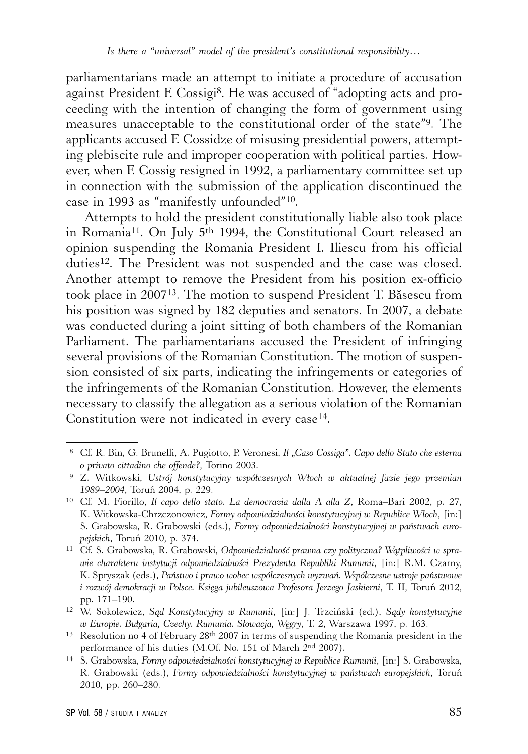parliamentarians made an attempt to initiate a procedure of accusation against President F. Cossigi<sup>8</sup>. He was accused of "adopting acts and proceeding with the intention of changing the form of government using measures unacceptable to the constitutional order of the state"9. The applicants accused F. Cossidze of misusing presidential powers, attempting plebiscite rule and improper cooperation with political parties. However, when F. Cossig resigned in 1992, a parliamentary committee set up in connection with the submission of the application discontinued the case in 1993 as "manifestly unfounded"10.

Attempts to hold the president constitutionally liable also took place in Romania11. On July 5th 1994, the Constitutional Court released an opinion suspending the Romania President I. Iliescu from his official duties<sup>12</sup>. The President was not suspended and the case was closed. Another attempt to remove the President from his position ex-officio took place in 200713. The motion to suspend President T. Băsescu from his position was signed by 182 deputies and senators. In 2007, a debate was conducted during a joint sitting of both chambers of the Romanian Parliament. The parliamentarians accused the President of infringing several provisions of the Romanian Constitution. The motion of suspension consisted of six parts, indicating the infringements or categories of the infringements of the Romanian Constitution. However, the elements necessary to classify the allegation as a serious violation of the Romanian Constitution were not indicated in every case<sup>14</sup>.

 <sup>8</sup> Cf. R. Bin, G. Brunelli, A. Pugiotto, P. Veronesi, *Il "Caso Cossiga". Capo dello Stato che esterna o privato cittadino che offende?*, Torino 2003. 9 Z. Witkowski, *Ustrój konstytucyjny współczesnych Włoch w aktualnej fazie jego przemian* 

*<sup>1989– 2004</sup>*, Toruń 2004, p. 229.

<sup>10</sup> Cf. M. Fiorillo, *Il capo dello stato. La democrazia dalla A alla Z*, Roma–Bari 2002, p. 27, K. Witkowska-Chrzczonowicz, *Formy odpowiedzialności konstytucyjnej w Republice Włoch*, [in:] S. Grabowska, R. Grabowski (eds.), *Formy odpowiedzialności konstytucyjnej w państwach europejskich*, Toruń 2010, p. 374.

<sup>11</sup> Cf. S. Grabowska, R. Grabowski, *Odpowiedzialność prawna czy polityczna? Wątpliwości w sprawie charakteru instytucji odpowiedzialności Prezydenta Republiki Rumunii*, [in:] R.M. Czarny, K. Spryszak (eds.), *Państwo i prawo wobec współczesnych wyzwań. Współczesne ustroje państwowe i rozwój demokracji w Polsce. Księga jubileuszowa Profesora Jerzego Jaskierni*, T. II, Toruń 2012, pp. 171–190.

<sup>12</sup> W. Sokolewicz, *Sąd Konstytucyjny w Rumunii*, [in:] J. Trzciński (ed.), *Sądy konstytucyjne w Europie. Bułgaria, Czechy. Rumunia. Słowacja, Węgry*, T. 2, Warszawa 1997, p. 163.

<sup>&</sup>lt;sup>13</sup> Resolution no 4 of February  $28<sup>th</sup> 2007$  in terms of suspending the Romania president in the performance of his duties (M.Of. No. 151 of March 2nd 2007).

<sup>14</sup> S. Grabowska, *Formy odpowiedzialności konstytucyjnej w Republice Rumunii*, [in:] S. Grabowska, R. Grabowski (eds.), *Formy odpowiedzialności konstytucyjnej w państwach europejskich*, Toruń 2010, pp. 260–280.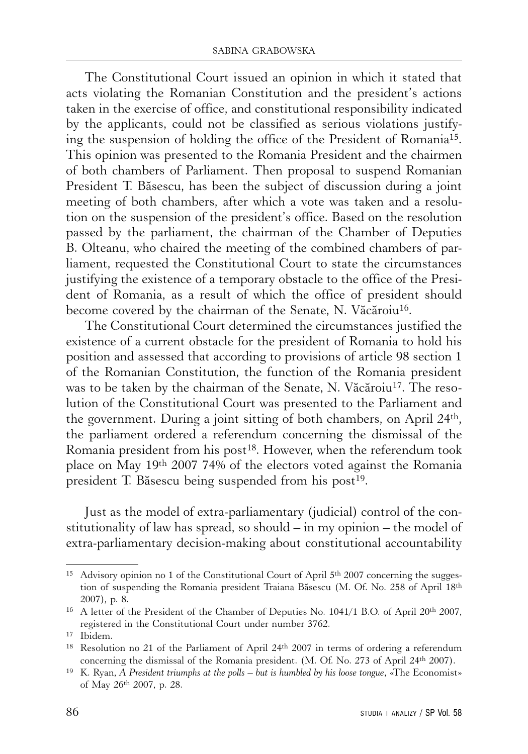The Constitutional Court issued an opinion in which it stated that acts violating the Romanian Constitution and the president's actions taken in the exercise of office, and constitutional responsibility indicated by the applicants, could not be classified as serious violations justifying the suspension of holding the office of the President of Romania15. This opinion was presented to the Romania President and the chairmen of both chambers of Parliament. Then proposal to suspend Romanian President T. Băsescu, has been the subject of discussion during a joint meeting of both chambers, after which a vote was taken and a resolution on the suspension of the president's office. Based on the resolution passed by the parliament, the chairman of the Chamber of Deputies B. Olteanu, who chaired the meeting of the combined chambers of parliament, requested the Constitutional Court to state the circumstances justifying the existence of a temporary obstacle to the office of the President of Romania, as a result of which the office of president should become covered by the chairman of the Senate, N. Văcăroiu<sup>16</sup>.

The Constitutional Court determined the circumstances justified the existence of a current obstacle for the president of Romania to hold his position and assessed that according to provisions of article 98 section 1 of the Romanian Constitution, the function of the Romania president was to be taken by the chairman of the Senate, N. Văcăroiu<sup>17</sup>. The resolution of the Constitutional Court was presented to the Parliament and the government. During a joint sitting of both chambers, on April 24th, the parliament ordered a referendum concerning the dismissal of the Romania president from his post<sup>18</sup>. However, when the referendum took place on May 19th 2007 74% of the electors voted against the Romania president T. Băsescu being suspended from his post<sup>19</sup>.

Just as the model of extra-parliamentary (judicial) control of the constitutionality of law has spread, so should  $-\text{ in }$  my opinion  $-\text{ the model of}$ extra-parliamentary decision-making about constitutional accountability

<sup>&</sup>lt;sup>15</sup> Advisory opinion no 1 of the Constitutional Court of April  $5<sup>th</sup>$  2007 concerning the suggestion of suspending the Romania president Traiana Băsescu (M. Of. No. 258 of April 18th 2007), p. 8.

<sup>&</sup>lt;sup>16</sup> A letter of the President of the Chamber of Deputies No. 1041/1 B.O. of April 20<sup>th</sup> 2007, registered in the Constitutional Court under number 3762.

<sup>17</sup> Ibidem.

<sup>18</sup> Resolution no 21 of the Parliament of April 24th 2007 in terms of ordering a referendum concerning the dismissal of the Romania president. (M. Of. No. 273 of April 24th 2007).

<sup>19</sup> K. Ryan, *A President triumphs at the polls – but is humbled by his loose tongue*, «The Economist» of May 26th 2007, p. 28.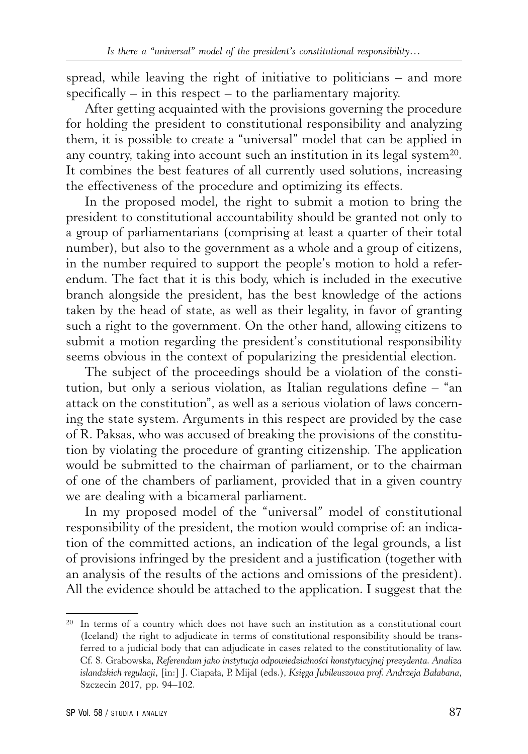spread, while leaving the right of initiative to politicians – and more specifically – in this respect – to the parliamentary majority.

After getting acquainted with the provisions governing the procedure for holding the president to constitutional responsibility and analyzing them, it is possible to create a "universal" model that can be applied in any country, taking into account such an institution in its legal system<sup>20</sup>. It combines the best features of all currently used solutions, increasing the effectiveness of the procedure and optimizing its effects.

In the proposed model, the right to submit a motion to bring the president to constitutional accountability should be granted not only to a group of parliamentarians (comprising at least a quarter of their total number), but also to the government as a whole and a group of citizens, in the number required to support the people's motion to hold a referendum. The fact that it is this body, which is included in the executive branch alongside the president, has the best knowledge of the actions taken by the head of state, as well as their legality, in favor of granting such a right to the government. On the other hand, allowing citizens to submit a motion regarding the president's constitutional responsibility seems obvious in the context of popularizing the presidential election.

The subject of the proceedings should be a violation of the constitution, but only a serious violation, as Italian regulations define – "an attack on the constitution", as well as a serious violation of laws concerning the state system. Arguments in this respect are provided by the case of R. Paksas, who was accused of breaking the provisions of the constitution by violating the procedure of granting citizenship. The application would be submitted to the chairman of parliament, or to the chairman of one of the chambers of parliament, provided that in a given country we are dealing with a bicameral parliament.

In my proposed model of the "universal" model of constitutional responsibility of the president, the motion would comprise of: an indication of the committed actions, an indication of the legal grounds, a list of provisions infringed by the president and a justification (together with an analysis of the results of the actions and omissions of the president). All the evidence should be attached to the application. I suggest that the

<sup>20</sup> In terms of a country which does not have such an institution as a constitutional court (Iceland) the right to adjudicate in terms of constitutional responsibility should be transferred to a judicial body that can adjudicate in cases related to the constitutionality of law. Cf. S. Grabowska, *Referendum jako instytucja odpowiedzialności konstytucyjnej prezydenta. Analiza islandzkich regulacji*, [in:] J. Ciapała, P. Mijal (eds.), *Księga Jubileuszowa prof. Andrzeja Bałabana*, Szczecin 2017, pp. 94–102.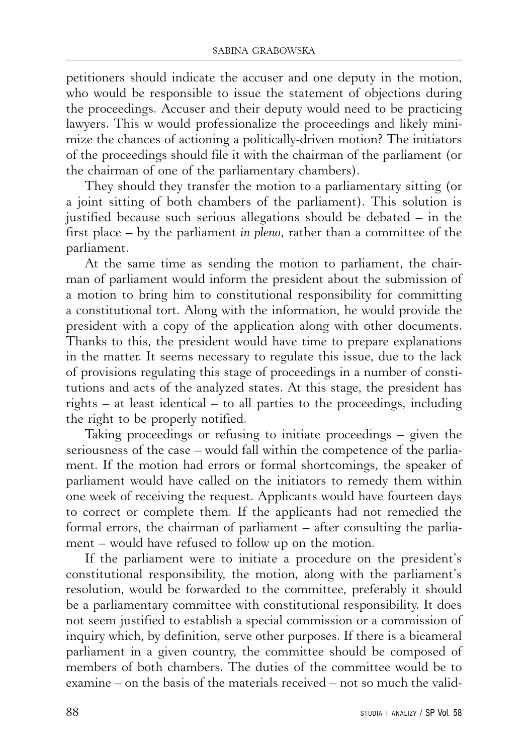petitioners should indicate the accuser and one deputy in the motion, who would be responsible to issue the statement of objections during the proceedings. Accuser and their deputy would need to be practicing lawyers. This w would professionalize the proceedings and likely minimize the chances of actioning a politically-driven motion? The initiators of the proceedings should file it with the chairman of the parliament (or the chairman of one of the parliamentary chambers).

They should they transfer the motion to a parliamentary sitting (or a joint sitting of both chambers of the parliament). This solution is justified because such serious allegations should be debated – in the first place – by the parliament *in pleno*, rather than a committee of the parliament.

At the same time as sending the motion to parliament, the chairman of parliament would inform the president about the submission of a motion to bring him to constitutional responsibility for committing a constitutional tort. Along with the information, he would provide the president with a copy of the application along with other documents. Thanks to this, the president would have time to prepare explanations in the matter. It seems necessary to regulate this issue, due to the lack of provisions regulating this stage of proceedings in a number of constitutions and acts of the analyzed states. At this stage, the president has rights – at least identical – to all parties to the proceedings, including the right to be properly notified.

Taking proceedings or refusing to initiate proceedings – given the seriousness of the case – would fall within the competence of the parliament. If the motion had errors or formal shortcomings, the speaker of parliament would have called on the initiators to remedy them within one week of receiving the request. Applicants would have fourteen days to correct or complete them. If the applicants had not remedied the formal errors, the chairman of parliament – after consulting the parliament – would have refused to follow up on the motion.

If the parliament were to initiate a procedure on the president's constitutional responsibility, the motion, along with the parliament's resolution, would be forwarded to the committee, preferably it should be a parliamentary committee with constitutional responsibility. It does not seem justified to establish a special commission or a commission of inquiry which, by definition, serve other purposes. If there is a bicameral parliament in a given country, the committee should be composed of members of both chambers. The duties of the committee would be to examine – on the basis of the materials received – not so much the valid-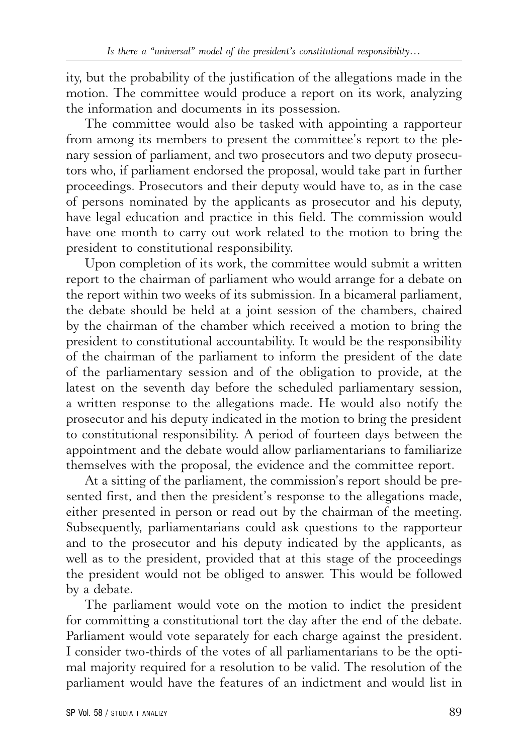ity, but the probability of the justification of the allegations made in the motion. The committee would produce a report on its work, analyzing the information and documents in its possession.

The committee would also be tasked with appointing a rapporteur from among its members to present the committee's report to the plenary session of parliament, and two prosecutors and two deputy prosecutors who, if parliament endorsed the proposal, would take part in further proceedings. Prosecutors and their deputy would have to, as in the case of persons nominated by the applicants as prosecutor and his deputy, have legal education and practice in this field. The commission would have one month to carry out work related to the motion to bring the president to constitutional responsibility.

Upon completion of its work, the committee would submit a written report to the chairman of parliament who would arrange for a debate on the report within two weeks of its submission. In a bicameral parliament, the debate should be held at a joint session of the chambers, chaired by the chairman of the chamber which received a motion to bring the president to constitutional accountability. It would be the responsibility of the chairman of the parliament to inform the president of the date of the parliamentary session and of the obligation to provide, at the latest on the seventh day before the scheduled parliamentary session, a written response to the allegations made. He would also notify the prosecutor and his deputy indicated in the motion to bring the president to constitutional responsibility. A period of fourteen days between the appointment and the debate would allow parliamentarians to familiarize themselves with the proposal, the evidence and the committee report.

At a sitting of the parliament, the commission's report should be presented first, and then the president's response to the allegations made, either presented in person or read out by the chairman of the meeting. Subsequently, parliamentarians could ask questions to the rapporteur and to the prosecutor and his deputy indicated by the applicants, as well as to the president, provided that at this stage of the proceedings the president would not be obliged to answer. This would be followed by a debate.

The parliament would vote on the motion to indict the president for committing a constitutional tort the day after the end of the debate. Parliament would vote separately for each charge against the president. I consider two-thirds of the votes of all parliamentarians to be the optimal majority required for a resolution to be valid. The resolution of the parliament would have the features of an indictment and would list in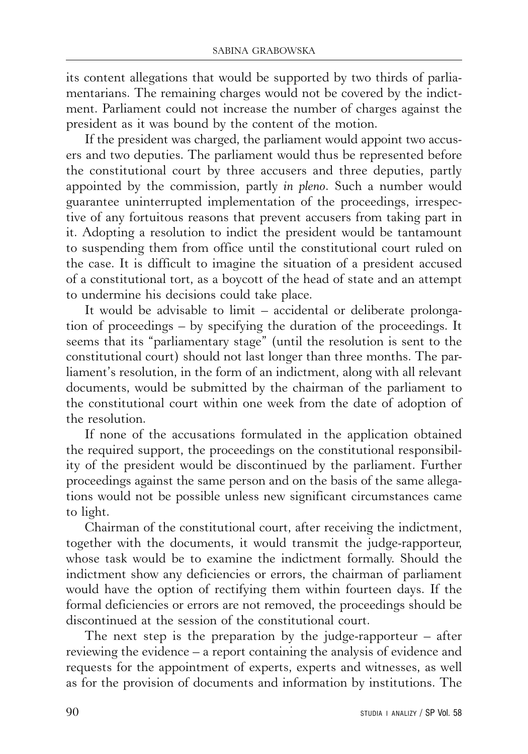its content allegations that would be supported by two thirds of parliamentarians. The remaining charges would not be covered by the indictment. Parliament could not increase the number of charges against the president as it was bound by the content of the motion.

If the president was charged, the parliament would appoint two accusers and two deputies. The parliament would thus be represented before the constitutional court by three accusers and three deputies, partly appointed by the commission, partly *in pleno*. Such a number would guarantee uninterrupted implementation of the proceedings, irrespective of any fortuitous reasons that prevent accusers from taking part in it. Adopting a resolution to indict the president would be tantamount to suspending them from office until the constitutional court ruled on the case. It is difficult to imagine the situation of a president accused of a constitutional tort, as a boycott of the head of state and an attempt to undermine his decisions could take place.

It would be advisable to limit – accidental or deliberate prolongation of proceedings – by specifying the duration of the proceedings. It seems that its "parliamentary stage" (until the resolution is sent to the constitutional court) should not last longer than three months. The parliament's resolution, in the form of an indictment, along with all relevant documents, would be submitted by the chairman of the parliament to the constitutional court within one week from the date of adoption of the resolution.

If none of the accusations formulated in the application obtained the required support, the proceedings on the constitutional responsibility of the president would be discontinued by the parliament. Further proceedings against the same person and on the basis of the same allegations would not be possible unless new significant circumstances came to light.

Chairman of the constitutional court, after receiving the indictment, together with the documents, it would transmit the judge-rapporteur, whose task would be to examine the indictment formally. Should the indictment show any deficiencies or errors, the chairman of parliament would have the option of rectifying them within fourteen days. If the formal deficiencies or errors are not removed, the proceedings should be discontinued at the session of the constitutional court.

The next step is the preparation by the judge-rapporteur  $-$  after reviewing the evidence – a report containing the analysis of evidence and requests for the appointment of experts, experts and witnesses, as well as for the provision of documents and information by institutions. The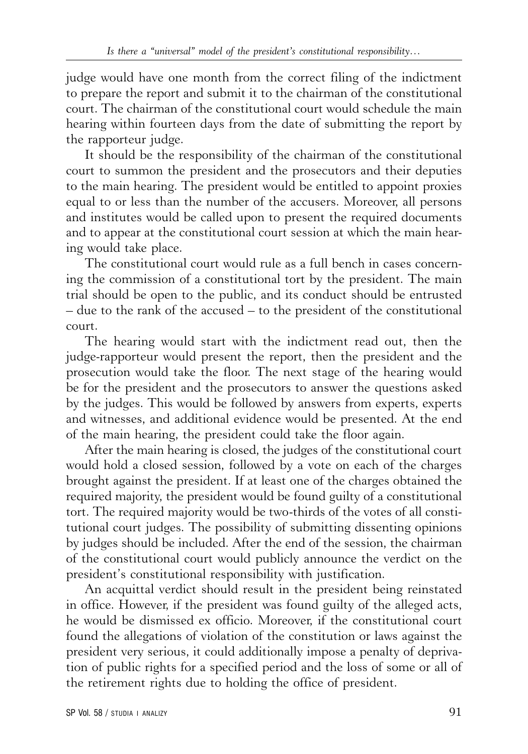judge would have one month from the correct filing of the indictment to prepare the report and submit it to the chairman of the constitutional court. The chairman of the constitutional court would schedule the main hearing within fourteen days from the date of submitting the report by the rapporteur judge.

It should be the responsibility of the chairman of the constitutional court to summon the president and the prosecutors and their deputies to the main hearing. The president would be entitled to appoint proxies equal to or less than the number of the accusers. Moreover, all persons and institutes would be called upon to present the required documents and to appear at the constitutional court session at which the main hearing would take place.

The constitutional court would rule as a full bench in cases concerning the commission of a constitutional tort by the president. The main trial should be open to the public, and its conduct should be entrusted – due to the rank of the accused – to the president of the constitutional court.

The hearing would start with the indictment read out, then the judge-rapporteur would present the report, then the president and the prosecution would take the floor. The next stage of the hearing would be for the president and the prosecutors to answer the questions asked by the judges. This would be followed by answers from experts, experts and witnesses, and additional evidence would be presented. At the end of the main hearing, the president could take the floor again.

After the main hearing is closed, the judges of the constitutional court would hold a closed session, followed by a vote on each of the charges brought against the president. If at least one of the charges obtained the required majority, the president would be found guilty of a constitutional tort. The required majority would be two-thirds of the votes of all constitutional court judges. The possibility of submitting dissenting opinions by judges should be included. After the end of the session, the chairman of the constitutional court would publicly announce the verdict on the president's constitutional responsibility with justification.

An acquittal verdict should result in the president being reinstated in office. However, if the president was found guilty of the alleged acts, he would be dismissed ex officio. Moreover, if the constitutional court found the allegations of violation of the constitution or laws against the president very serious, it could additionally impose a penalty of deprivation of public rights for a specified period and the loss of some or all of the retirement rights due to holding the office of president.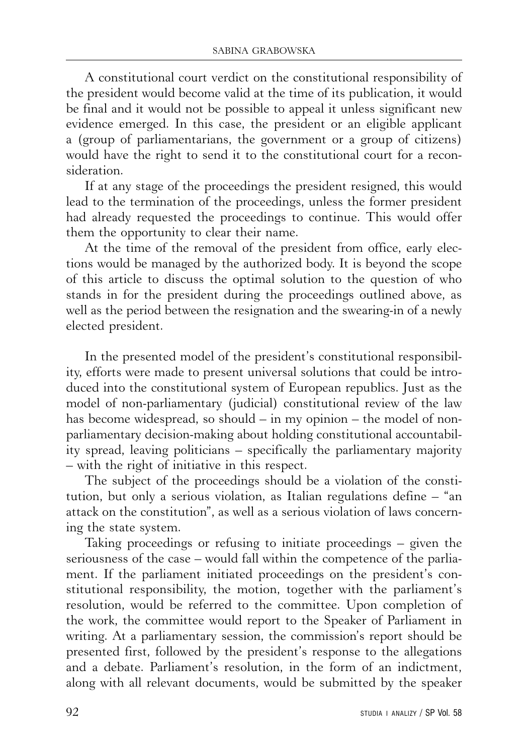A constitutional court verdict on the constitutional responsibility of the president would become valid at the time of its publication, it would be final and it would not be possible to appeal it unless significant new evidence emerged. In this case, the president or an eligible applicant a (group of parliamentarians, the government or a group of citizens) would have the right to send it to the constitutional court for a reconsideration.

If at any stage of the proceedings the president resigned, this would lead to the termination of the proceedings, unless the former president had already requested the proceedings to continue. This would offer them the opportunity to clear their name.

At the time of the removal of the president from office, early elections would be managed by the authorized body. It is beyond the scope of this article to discuss the optimal solution to the question of who stands in for the president during the proceedings outlined above, as well as the period between the resignation and the swearing-in of a newly elected president.

In the presented model of the president's constitutional responsibility, efforts were made to present universal solutions that could be introduced into the constitutional system of European republics. Just as the model of non-parliamentary (judicial) constitutional review of the law has become widespread, so should – in my opinion – the model of nonparliamentary decision-making about holding constitutional accountability spread, leaving politicians – specifically the parliamentary majority – with the right of initiative in this respect.

The subject of the proceedings should be a violation of the constitution, but only a serious violation, as Italian regulations define – "an attack on the constitution", as well as a serious violation of laws concerning the state system.

Taking proceedings or refusing to initiate proceedings – given the seriousness of the case – would fall within the competence of the parliament. If the parliament initiated proceedings on the president's constitutional responsibility, the motion, together with the parliament's resolution, would be referred to the committee. Upon completion of the work, the committee would report to the Speaker of Parliament in writing. At a parliamentary session, the commission's report should be presented first, followed by the president's response to the allegations and a debate. Parliament's resolution, in the form of an indictment, along with all relevant documents, would be submitted by the speaker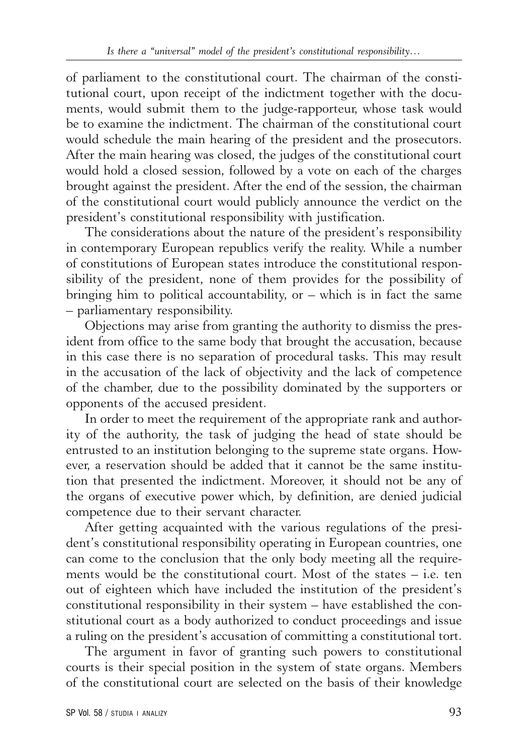of parliament to the constitutional court. The chairman of the constitutional court, upon receipt of the indictment together with the documents, would submit them to the judge-rapporteur, whose task would be to examine the indictment. The chairman of the constitutional court would schedule the main hearing of the president and the prosecutors. After the main hearing was closed, the judges of the constitutional court would hold a closed session, followed by a vote on each of the charges brought against the president. After the end of the session, the chairman of the constitutional court would publicly announce the verdict on the president's constitutional responsibility with justification.

The considerations about the nature of the president's responsibility in contemporary European republics verify the reality. While a number of constitutions of European states introduce the constitutional responsibility of the president, none of them provides for the possibility of bringing him to political accountability, or  $-$  which is in fact the same – parliamentary responsibility.

Objections may arise from granting the authority to dismiss the president from office to the same body that brought the accusation, because in this case there is no separation of procedural tasks. This may result in the accusation of the lack of objectivity and the lack of competence of the chamber, due to the possibility dominated by the supporters or opponents of the accused president.

In order to meet the requirement of the appropriate rank and authority of the authority, the task of judging the head of state should be entrusted to an institution belonging to the supreme state organs. However, a reservation should be added that it cannot be the same institution that presented the indictment. Moreover, it should not be any of the organs of executive power which, by definition, are denied judicial competence due to their servant character.

After getting acquainted with the various regulations of the president's constitutional responsibility operating in European countries, one can come to the conclusion that the only body meeting all the requirements would be the constitutional court. Most of the states – i.e. ten out of eighteen which have included the institution of the president's constitutional responsibility in their system – have established the constitutional court as a body authorized to conduct proceedings and issue a ruling on the president's accusation of committing a constitutional tort.

The argument in favor of granting such powers to constitutional courts is their special position in the system of state organs. Members of the constitutional court are selected on the basis of their knowledge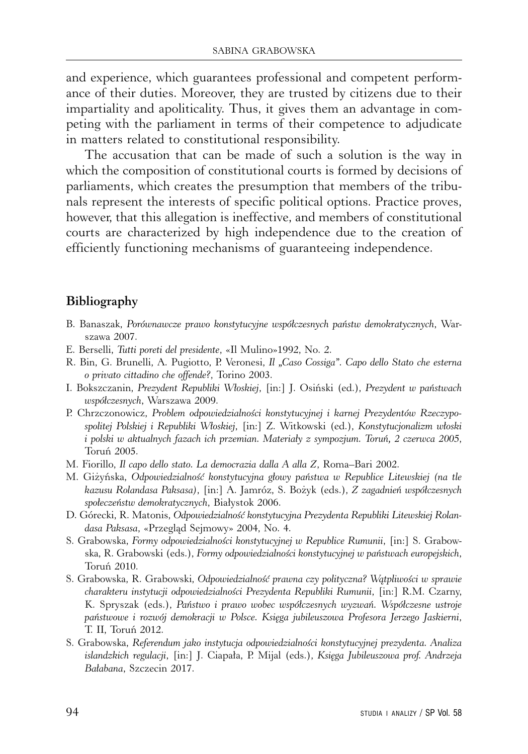and experience, which guarantees professional and competent performance of their duties. Moreover, they are trusted by citizens due to their impartiality and apoliticality. Thus, it gives them an advantage in competing with the parliament in terms of their competence to adjudicate in matters related to constitutional responsibility.

The accusation that can be made of such a solution is the way in which the composition of constitutional courts is formed by decisions of parliaments, which creates the presumption that members of the tribunals represent the interests of specific political options. Practice proves, however, that this allegation is ineffective, and members of constitutional courts are characterized by high independence due to the creation of efficiently functioning mechanisms of guaranteeing independence.

## **Bibliography**

- B. Banaszak, *Porównawcze prawo konstytucyjne współczesnych państw demokratycznych*, Warszawa 2007.
- E. Berselli, *Tutti poreti del presidente*, «Il Mulino»1992, No. 2.
- R. Bin, G. Brunelli, A. Pugiotto, P. Veronesi, *Il "Caso Cossiga". Capo dello Stato che esterna o privato cittadino che offende?*, Torino 2003.
- I. Bokszczanin, *Prezydent Republiki Włoskiej*, [in:] J. Osiński (ed.), *Prezydent w państwach współczesnych*, Warszawa 2009.
- P. Chrzczonowicz, *Problem odpowiedzialności konstytucyjnej i karnej Prezydentów Rzeczypospolitej Polskiej i Republiki Włoskiej*, [in:] Z. Witkowski (ed.), *Konstytucjonalizm włoski i polski w aktualnych fazach ich przemian. Materiały z sympozjum. Toruń, 2 czerwca 2005*, Toruń 2005.
- M. Fiorillo, *Il capo dello stato. La democrazia dalla A alla Z*, Roma–Bari 2002.
- M. Giżyńska, *Odpowiedzialność konstytucyjna głowy państwa w Republice Litewskiej (na tle kazusu Rolandasa Paksasa)*, [in:] A. Jamróz, S. Bożyk (eds.), *Z zagadnień współczesnych społeczeństw demokratycznych*, Białystok 2006.
- D. Górecki, R. Matonis, *Odpowiedzialność konstytucyjna Prezydenta Republiki Litewskiej Rolandasa Paksasa*, «Przegląd Sejmowy» 2004, No. 4.
- S. Grabowska, *Formy odpowiedzialności konstytucyjnej w Republice Rumunii*, [in:] S. Grabowska, R. Grabowski (eds.), *Formy odpowiedzialności konstytucyjnej w państwach europejskich*, Toruń 2010.
- S. Grabowska, R. Grabowski, *Odpowiedzialność prawna czy polityczna? Wątpliwości w sprawie charakteru instytucji odpowiedzialności Prezydenta Republiki Rumunii*, [in:] R.M. Czarny, K. Spryszak (eds.), *Państwo i prawo wobec współczesnych wyzwań. Współczesne ustroje państwowe i rozwój demokracji w Polsce. Księga jubileuszowa Profesora Jerzego Jaskierni*, T. II, Toruń 2012.
- S. Grabowska, *Referendum jako instytucja odpowiedzialności konstytucyjnej prezydenta. Analiza islandzkich regulacji*, [in:] J. Ciapała, P. Mijal (eds.), *Księga Jubileuszowa prof. Andrzeja Bałabana*, Szczecin 2017.